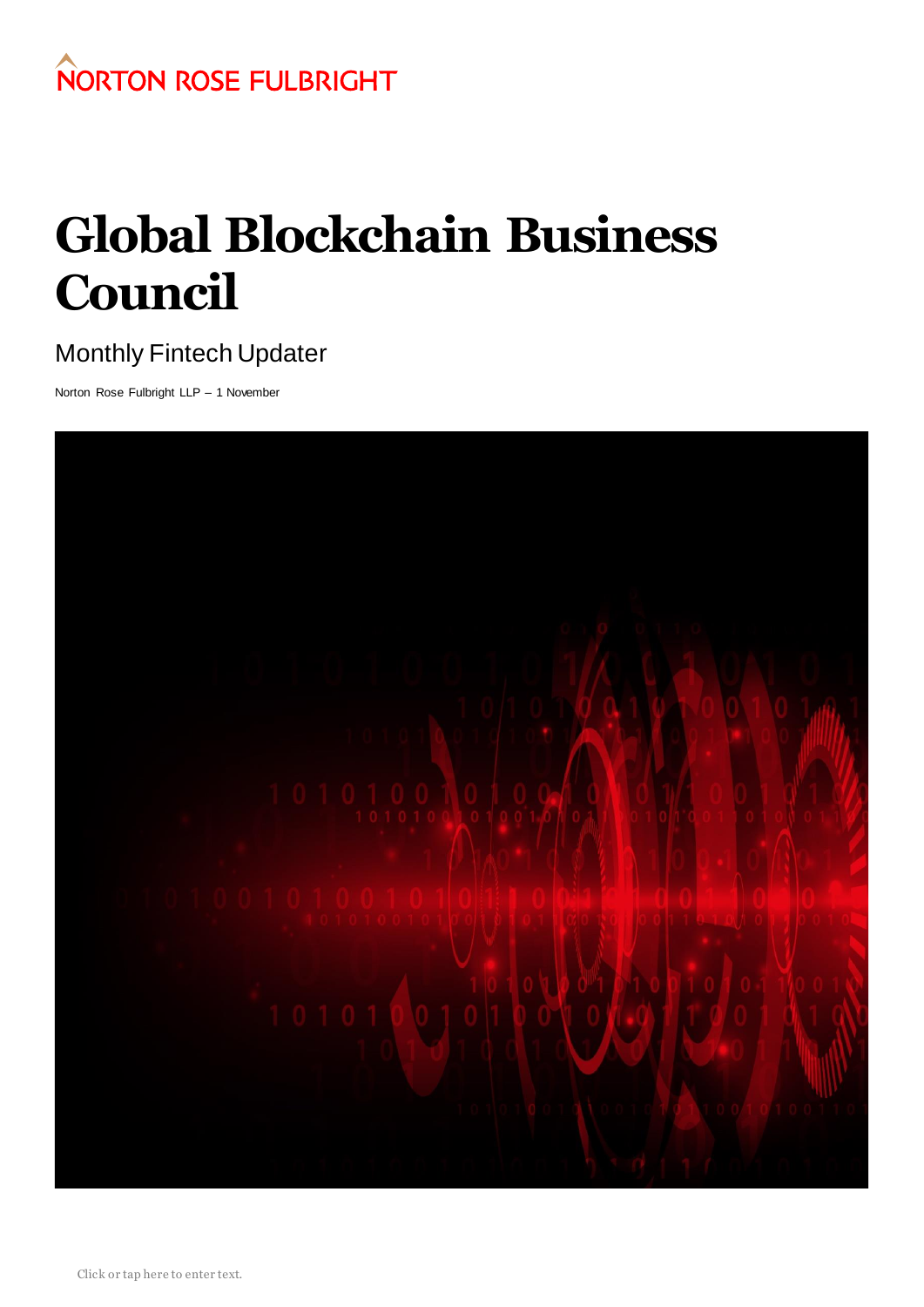

# **Global Blockchain Business Council**

## Monthly Fintech Updater

Norton Rose Fulbright LLP – 1 November

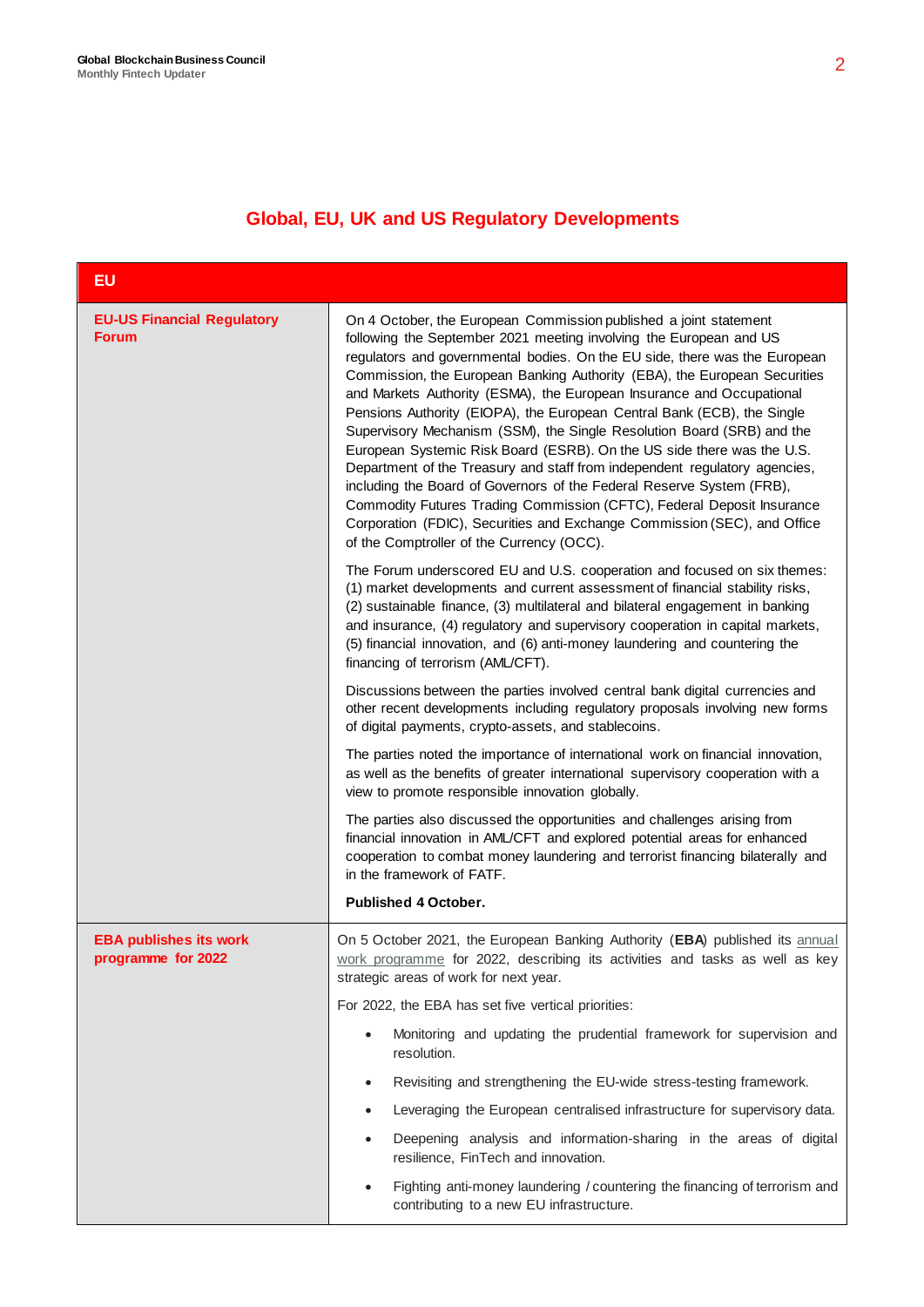## **Global, EU, UK and US Regulatory Developments**

| EU                                                  |                                                                                                                                                                                                                                                                                                                                                                                                                                                                                                                                                                                                                                                                                                                                                                                                                                                                                                                                                                      |
|-----------------------------------------------------|----------------------------------------------------------------------------------------------------------------------------------------------------------------------------------------------------------------------------------------------------------------------------------------------------------------------------------------------------------------------------------------------------------------------------------------------------------------------------------------------------------------------------------------------------------------------------------------------------------------------------------------------------------------------------------------------------------------------------------------------------------------------------------------------------------------------------------------------------------------------------------------------------------------------------------------------------------------------|
| <b>EU-US Financial Regulatory</b><br><b>Forum</b>   | On 4 October, the European Commission published a joint statement<br>following the September 2021 meeting involving the European and US<br>regulators and governmental bodies. On the EU side, there was the European<br>Commission, the European Banking Authority (EBA), the European Securities<br>and Markets Authority (ESMA), the European Insurance and Occupational<br>Pensions Authority (EIOPA), the European Central Bank (ECB), the Single<br>Supervisory Mechanism (SSM), the Single Resolution Board (SRB) and the<br>European Systemic Risk Board (ESRB). On the US side there was the U.S.<br>Department of the Treasury and staff from independent regulatory agencies,<br>including the Board of Governors of the Federal Reserve System (FRB),<br>Commodity Futures Trading Commission (CFTC), Federal Deposit Insurance<br>Corporation (FDIC), Securities and Exchange Commission (SEC), and Office<br>of the Comptroller of the Currency (OCC). |
|                                                     | The Forum underscored EU and U.S. cooperation and focused on six themes:<br>(1) market developments and current assessment of financial stability risks,<br>(2) sustainable finance, (3) multilateral and bilateral engagement in banking<br>and insurance, (4) regulatory and supervisory cooperation in capital markets,<br>(5) financial innovation, and (6) anti-money laundering and countering the<br>financing of terrorism (AML/CFT).                                                                                                                                                                                                                                                                                                                                                                                                                                                                                                                        |
|                                                     | Discussions between the parties involved central bank digital currencies and<br>other recent developments including regulatory proposals involving new forms<br>of digital payments, crypto-assets, and stablecoins.                                                                                                                                                                                                                                                                                                                                                                                                                                                                                                                                                                                                                                                                                                                                                 |
|                                                     | The parties noted the importance of international work on financial innovation,<br>as well as the benefits of greater international supervisory cooperation with a<br>view to promote responsible innovation globally.                                                                                                                                                                                                                                                                                                                                                                                                                                                                                                                                                                                                                                                                                                                                               |
|                                                     | The parties also discussed the opportunities and challenges arising from<br>financial innovation in AML/CFT and explored potential areas for enhanced<br>cooperation to combat money laundering and terrorist financing bilaterally and<br>in the framework of FATF.                                                                                                                                                                                                                                                                                                                                                                                                                                                                                                                                                                                                                                                                                                 |
|                                                     | <b>Published 4 October.</b>                                                                                                                                                                                                                                                                                                                                                                                                                                                                                                                                                                                                                                                                                                                                                                                                                                                                                                                                          |
| <b>EBA publishes its work</b><br>programme for 2022 | On 5 October 2021, the European Banking Authority (EBA) published its annual<br>work programme for 2022, describing its activities and tasks as well as key<br>strategic areas of work for next year.                                                                                                                                                                                                                                                                                                                                                                                                                                                                                                                                                                                                                                                                                                                                                                |
|                                                     | For 2022, the EBA has set five vertical priorities:                                                                                                                                                                                                                                                                                                                                                                                                                                                                                                                                                                                                                                                                                                                                                                                                                                                                                                                  |
|                                                     | Monitoring and updating the prudential framework for supervision and<br>resolution.                                                                                                                                                                                                                                                                                                                                                                                                                                                                                                                                                                                                                                                                                                                                                                                                                                                                                  |
|                                                     | Revisiting and strengthening the EU-wide stress-testing framework.<br>٠                                                                                                                                                                                                                                                                                                                                                                                                                                                                                                                                                                                                                                                                                                                                                                                                                                                                                              |
|                                                     | Leveraging the European centralised infrastructure for supervisory data.<br>$\bullet$                                                                                                                                                                                                                                                                                                                                                                                                                                                                                                                                                                                                                                                                                                                                                                                                                                                                                |
|                                                     | Deepening analysis and information-sharing in the areas of digital<br>resilience, FinTech and innovation.                                                                                                                                                                                                                                                                                                                                                                                                                                                                                                                                                                                                                                                                                                                                                                                                                                                            |
|                                                     | Fighting anti-money laundering / countering the financing of terrorism and<br>contributing to a new EU infrastructure.                                                                                                                                                                                                                                                                                                                                                                                                                                                                                                                                                                                                                                                                                                                                                                                                                                               |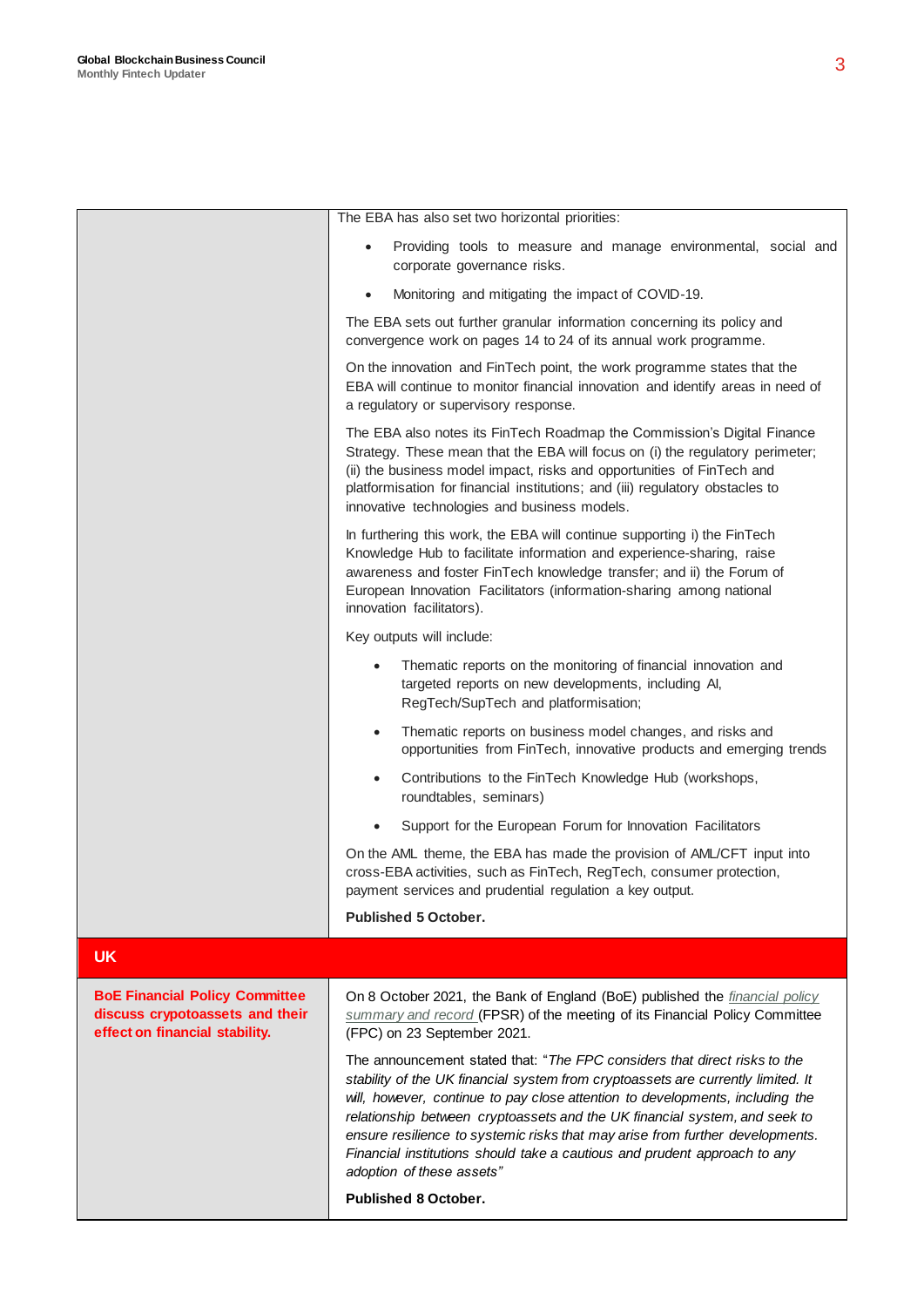The EBA has also set two horizontal priorities: Providing tools to measure and manage environmental, social and corporate governance risks. Monitoring and mitigating the impact of COVID-19. The EBA sets out further granular information concerning its policy and convergence work on pages 14 to 24 of its annual work programme. On the innovation and FinTech point, the work programme states that the EBA will continue to monitor financial innovation and identify areas in need of a regulatory or supervisory response. The EBA also notes its FinTech Roadmap the Commission's Digital Finance Strategy. These mean that the EBA will focus on (i) the regulatory perimeter: (ii) the business model impact, risks and opportunities of FinTech and platformisation for financial institutions; and (iii) regulatory obstacles to innovative technologies and business models. In furthering this work, the EBA will continue supporting i) the FinTech Knowledge Hub to facilitate information and experience-sharing, raise awareness and foster FinTech knowledge transfer; and ii) the Forum of European Innovation Facilitators (information-sharing among national innovation facilitators). Key outputs will include: Thematic reports on the monitoring of financial innovation and targeted reports on new developments, including AI, RegTech/SupTech and platformisation; Thematic reports on business model changes, and risks and opportunities from FinTech, innovative products and emerging trends Contributions to the FinTech Knowledge Hub (workshops, roundtables, seminars) Support for the European Forum for Innovation Facilitators On the AML theme, the EBA has made the provision of AML/CFT input into cross-EBA activities, such as FinTech, RegTech, consumer protection, payment services and prudential regulation a key output. **Published 5 October. UK BoE Financial Policy Committee discuss crypotoassets and their effect on financial stability.**  On 8 October 2021, the Bank of England (BoE) published the *[financial policy](https://www.bankofengland.co.uk/-/media/boe/files/financial-policy-summary-and-record/2021/october-2021.pdf)  [summary and record](https://www.bankofengland.co.uk/-/media/boe/files/financial-policy-summary-and-record/2021/october-2021.pdf)* (FPSR) of the meeting of its Financial Policy Committee (FPC) on 23 September 2021. The announcement stated that: "*The FPC considers that direct risks to the stability of the UK financial system from cryptoassets are currently limited. It will, however, continue to pay close attention to developments, including the relationship between cryptoassets and the UK financial system, and seek to ensure resilience to systemic risks that may arise from further developments. Financial institutions should take a cautious and prudent approach to any adoption of these assets"*

**Published 8 October.**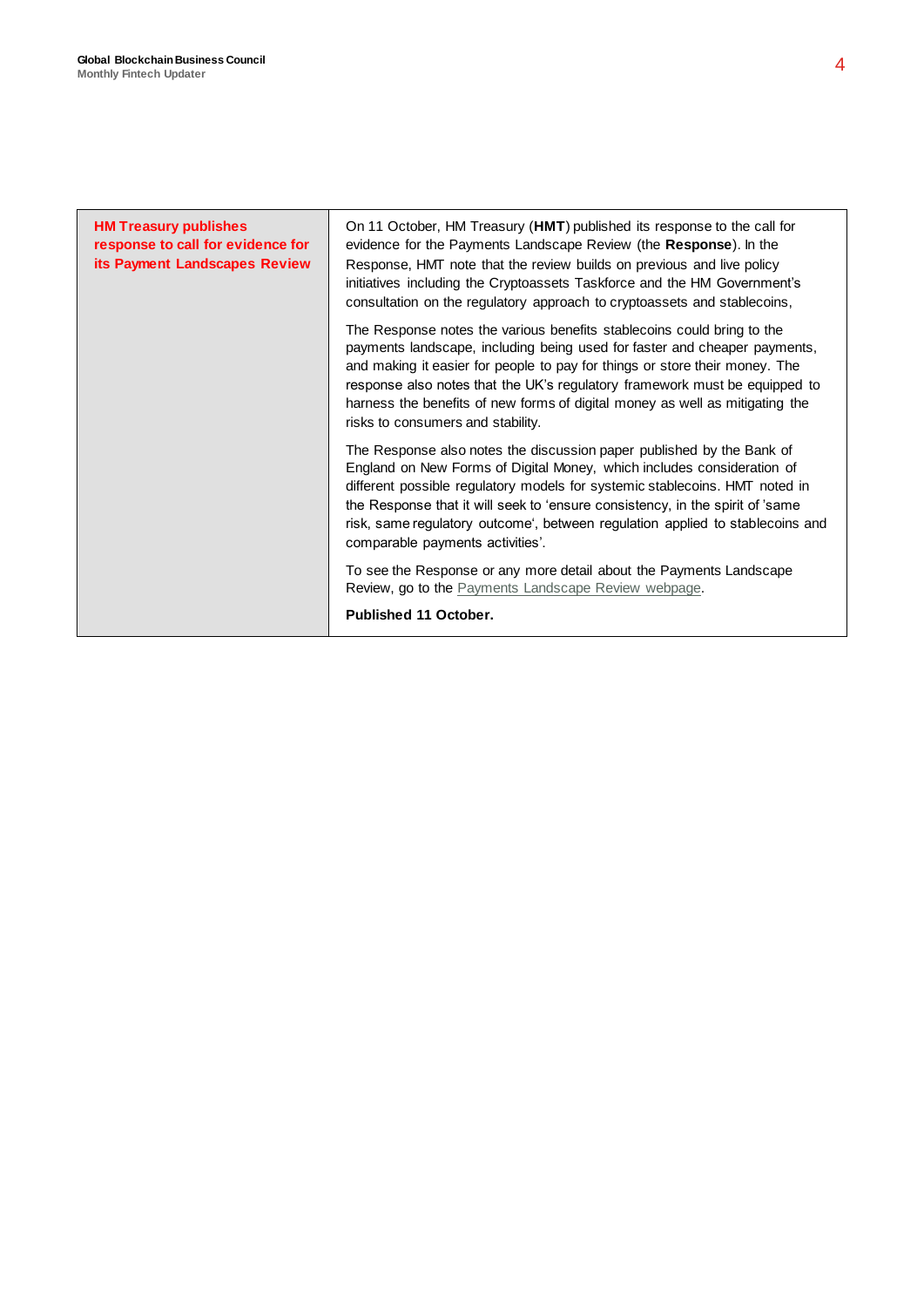| <b>HM Treasury publishes</b><br>response to call for evidence for<br>its Payment Landscapes Review | On 11 October, HM Treasury (HMT) published its response to the call for<br>evidence for the Payments Landscape Review (the Response). In the<br>Response, HMT note that the review builds on previous and live policy<br>initiatives including the Cryptoassets Taskforce and the HM Government's<br>consultation on the regulatory approach to cryptoassets and stablecoins,                                                         |
|----------------------------------------------------------------------------------------------------|---------------------------------------------------------------------------------------------------------------------------------------------------------------------------------------------------------------------------------------------------------------------------------------------------------------------------------------------------------------------------------------------------------------------------------------|
|                                                                                                    | The Response notes the various benefits stablecoins could bring to the<br>payments landscape, including being used for faster and cheaper payments,<br>and making it easier for people to pay for things or store their money. The<br>response also notes that the UK's regulatory framework must be equipped to<br>harness the benefits of new forms of digital money as well as mitigating the<br>risks to consumers and stability. |
|                                                                                                    | The Response also notes the discussion paper published by the Bank of<br>England on New Forms of Digital Money, which includes consideration of<br>different possible regulatory models for systemic stablecoins. HMT noted in<br>the Response that it will seek to 'ensure consistency, in the spirit of 'same<br>risk, same regulatory outcome', between regulation applied to stablecoins and<br>comparable payments activities'.  |
|                                                                                                    | To see the Response or any more detail about the Payments Landscape<br>Review, go to the Payments Landscape Review webpage.                                                                                                                                                                                                                                                                                                           |
|                                                                                                    | Published 11 October.                                                                                                                                                                                                                                                                                                                                                                                                                 |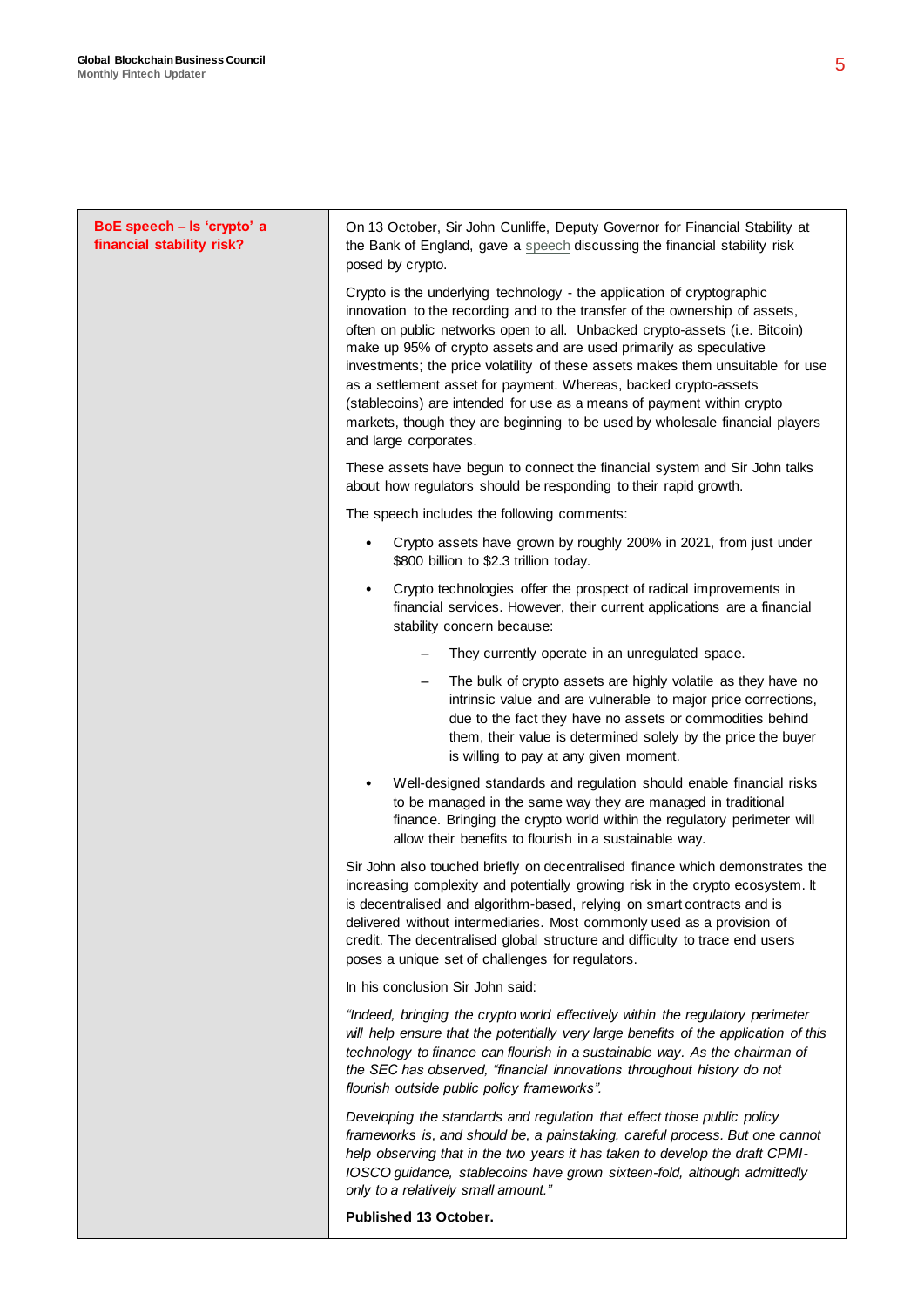| BoE speech - Is 'crypto' a<br>financial stability risk? | On 13 October, Sir John Cunliffe, Deputy Governor for Financial Stability at<br>the Bank of England, gave a speech discussing the financial stability risk<br>posed by crypto.                                                                                                                                                                                                                                                                                                                                                                                                                                                                       |
|---------------------------------------------------------|------------------------------------------------------------------------------------------------------------------------------------------------------------------------------------------------------------------------------------------------------------------------------------------------------------------------------------------------------------------------------------------------------------------------------------------------------------------------------------------------------------------------------------------------------------------------------------------------------------------------------------------------------|
|                                                         | Crypto is the underlying technology - the application of cryptographic<br>innovation to the recording and to the transfer of the ownership of assets,<br>often on public networks open to all. Unbacked crypto-assets (i.e. Bitcoin)<br>make up 95% of crypto assets and are used primarily as speculative<br>investments; the price volatility of these assets makes them unsuitable for use<br>as a settlement asset for payment. Whereas, backed crypto-assets<br>(stablecoins) are intended for use as a means of payment within crypto<br>markets, though they are beginning to be used by wholesale financial players<br>and large corporates. |
|                                                         | These assets have begun to connect the financial system and Sir John talks<br>about how regulators should be responding to their rapid growth.                                                                                                                                                                                                                                                                                                                                                                                                                                                                                                       |
|                                                         | The speech includes the following comments:                                                                                                                                                                                                                                                                                                                                                                                                                                                                                                                                                                                                          |
|                                                         | Crypto assets have grown by roughly 200% in 2021, from just under<br>$\bullet$<br>\$800 billion to \$2.3 trillion today.                                                                                                                                                                                                                                                                                                                                                                                                                                                                                                                             |
|                                                         | Crypto technologies offer the prospect of radical improvements in<br>$\bullet$<br>financial services. However, their current applications are a financial<br>stability concern because:                                                                                                                                                                                                                                                                                                                                                                                                                                                              |
|                                                         | They currently operate in an unregulated space.                                                                                                                                                                                                                                                                                                                                                                                                                                                                                                                                                                                                      |
|                                                         | The bulk of crypto assets are highly volatile as they have no<br>$\qquad \qquad -$<br>intrinsic value and are vulnerable to major price corrections,<br>due to the fact they have no assets or commodities behind<br>them, their value is determined solely by the price the buyer<br>is willing to pay at any given moment.                                                                                                                                                                                                                                                                                                                         |
|                                                         | Well-designed standards and regulation should enable financial risks<br>$\bullet$<br>to be managed in the same way they are managed in traditional<br>finance. Bringing the crypto world within the regulatory perimeter will<br>allow their benefits to flourish in a sustainable way.                                                                                                                                                                                                                                                                                                                                                              |
|                                                         | Sir John also touched briefly on decentralised finance which demonstrates the<br>increasing complexity and potentially growing risk in the crypto ecosystem. It<br>is decentralised and algorithm-based, relying on smart contracts and is<br>delivered without intermediaries. Most commonly used as a provision of<br>credit. The decentralised global structure and difficulty to trace end users<br>poses a unique set of challenges for regulators.                                                                                                                                                                                             |
|                                                         | In his conclusion Sir John said:                                                                                                                                                                                                                                                                                                                                                                                                                                                                                                                                                                                                                     |
|                                                         | "Indeed, bringing the crypto world effectively within the regulatory perimeter<br>will help ensure that the potentially very large benefits of the application of this<br>technology to finance can flourish in a sustainable way. As the chairman of<br>the SEC has observed, "financial innovations throughout history do not<br>flourish outside public policy frameworks".                                                                                                                                                                                                                                                                       |
|                                                         | Developing the standards and regulation that effect those public policy<br>frameworks is, and should be, a painstaking, careful process. But one cannot<br>help observing that in the two years it has taken to develop the draft CPMI-<br>IOSCO guidance, stablecoins have grown sixteen-fold, although admittedly<br>only to a relatively small amount."                                                                                                                                                                                                                                                                                           |
|                                                         | Published 13 October.                                                                                                                                                                                                                                                                                                                                                                                                                                                                                                                                                                                                                                |
|                                                         |                                                                                                                                                                                                                                                                                                                                                                                                                                                                                                                                                                                                                                                      |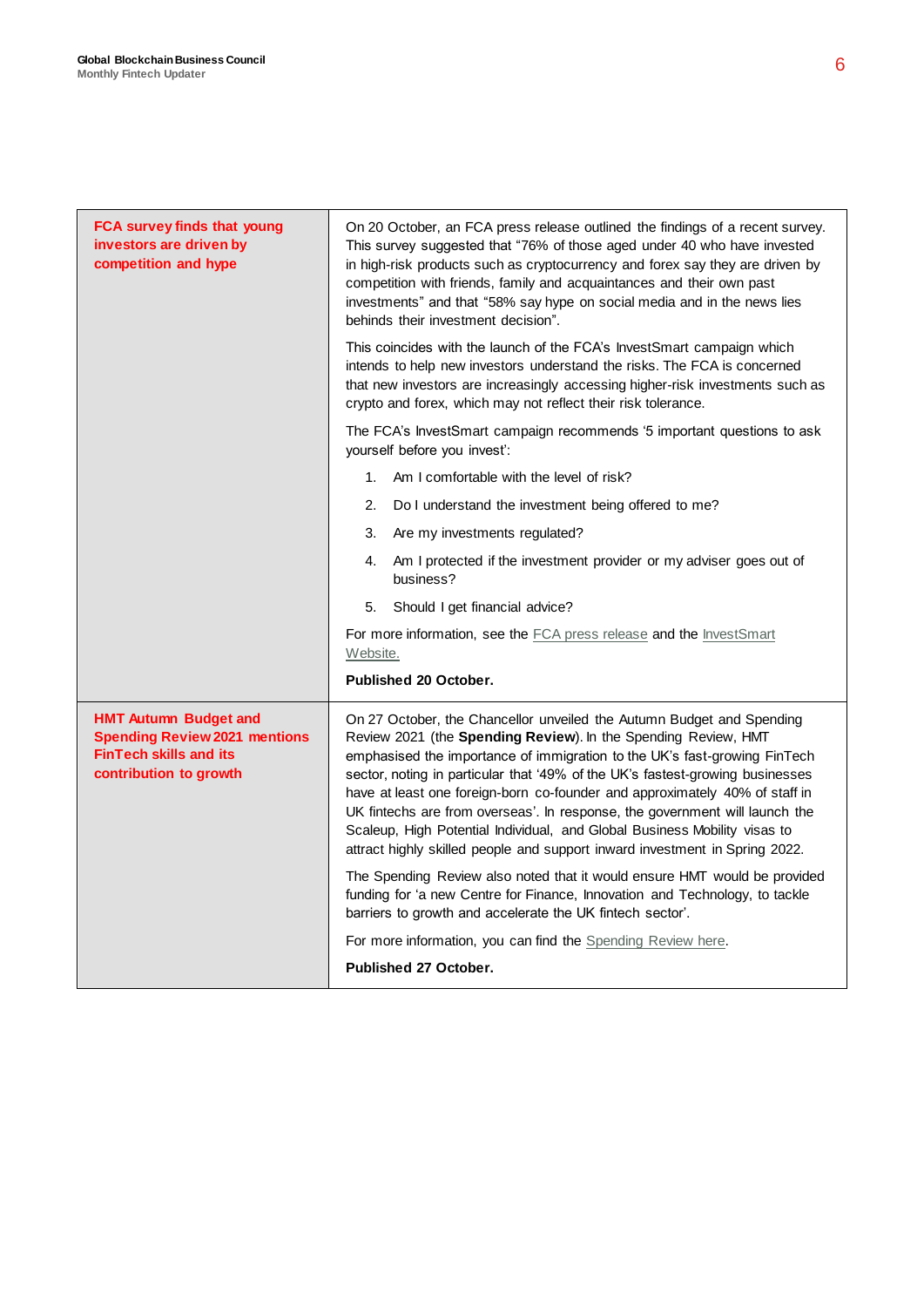| FCA survey finds that young<br>investors are driven by<br>competition and hype                                                  | On 20 October, an FCA press release outlined the findings of a recent survey.<br>This survey suggested that "76% of those aged under 40 who have invested<br>in high-risk products such as cryptocurrency and forex say they are driven by<br>competition with friends, family and acquaintances and their own past<br>investments" and that "58% say hype on social media and in the news lies<br>behinds their investment decision".                                                                                                                                                                                          |
|---------------------------------------------------------------------------------------------------------------------------------|---------------------------------------------------------------------------------------------------------------------------------------------------------------------------------------------------------------------------------------------------------------------------------------------------------------------------------------------------------------------------------------------------------------------------------------------------------------------------------------------------------------------------------------------------------------------------------------------------------------------------------|
|                                                                                                                                 | This coincides with the launch of the FCA's InvestSmart campaign which<br>intends to help new investors understand the risks. The FCA is concerned<br>that new investors are increasingly accessing higher-risk investments such as<br>crypto and forex, which may not reflect their risk tolerance.                                                                                                                                                                                                                                                                                                                            |
|                                                                                                                                 | The FCA's InvestSmart campaign recommends '5 important questions to ask<br>yourself before you invest':                                                                                                                                                                                                                                                                                                                                                                                                                                                                                                                         |
|                                                                                                                                 | Am I comfortable with the level of risk?<br>1.                                                                                                                                                                                                                                                                                                                                                                                                                                                                                                                                                                                  |
|                                                                                                                                 | 2.<br>Do I understand the investment being offered to me?                                                                                                                                                                                                                                                                                                                                                                                                                                                                                                                                                                       |
|                                                                                                                                 | 3.<br>Are my investments regulated?                                                                                                                                                                                                                                                                                                                                                                                                                                                                                                                                                                                             |
|                                                                                                                                 | Am I protected if the investment provider or my adviser goes out of<br>4.<br>business?                                                                                                                                                                                                                                                                                                                                                                                                                                                                                                                                          |
|                                                                                                                                 | Should I get financial advice?<br>5.                                                                                                                                                                                                                                                                                                                                                                                                                                                                                                                                                                                            |
|                                                                                                                                 | For more information, see the FCA press release and the InvestSmart<br>Website.                                                                                                                                                                                                                                                                                                                                                                                                                                                                                                                                                 |
|                                                                                                                                 | <b>Published 20 October.</b>                                                                                                                                                                                                                                                                                                                                                                                                                                                                                                                                                                                                    |
| <b>HMT Autumn Budget and</b><br><b>Spending Review 2021 mentions</b><br><b>FinTech skills and its</b><br>contribution to growth | On 27 October, the Chancellor unveiled the Autumn Budget and Spending<br>Review 2021 (the Spending Review). In the Spending Review, HMT<br>emphasised the importance of immigration to the UK's fast-growing FinTech<br>sector, noting in particular that '49% of the UK's fastest-growing businesses<br>have at least one foreign-born co-founder and approximately 40% of staff in<br>UK fintechs are from overseas'. In response, the government will launch the<br>Scaleup, High Potential Individual, and Global Business Mobility visas to<br>attract highly skilled people and support inward investment in Spring 2022. |
|                                                                                                                                 | The Spending Review also noted that it would ensure HMT would be provided<br>funding for 'a new Centre for Finance, Innovation and Technology, to tackle<br>barriers to growth and accelerate the UK fintech sector'.                                                                                                                                                                                                                                                                                                                                                                                                           |
|                                                                                                                                 | For more information, you can find the Spending Review here.                                                                                                                                                                                                                                                                                                                                                                                                                                                                                                                                                                    |
|                                                                                                                                 | <b>Published 27 October.</b>                                                                                                                                                                                                                                                                                                                                                                                                                                                                                                                                                                                                    |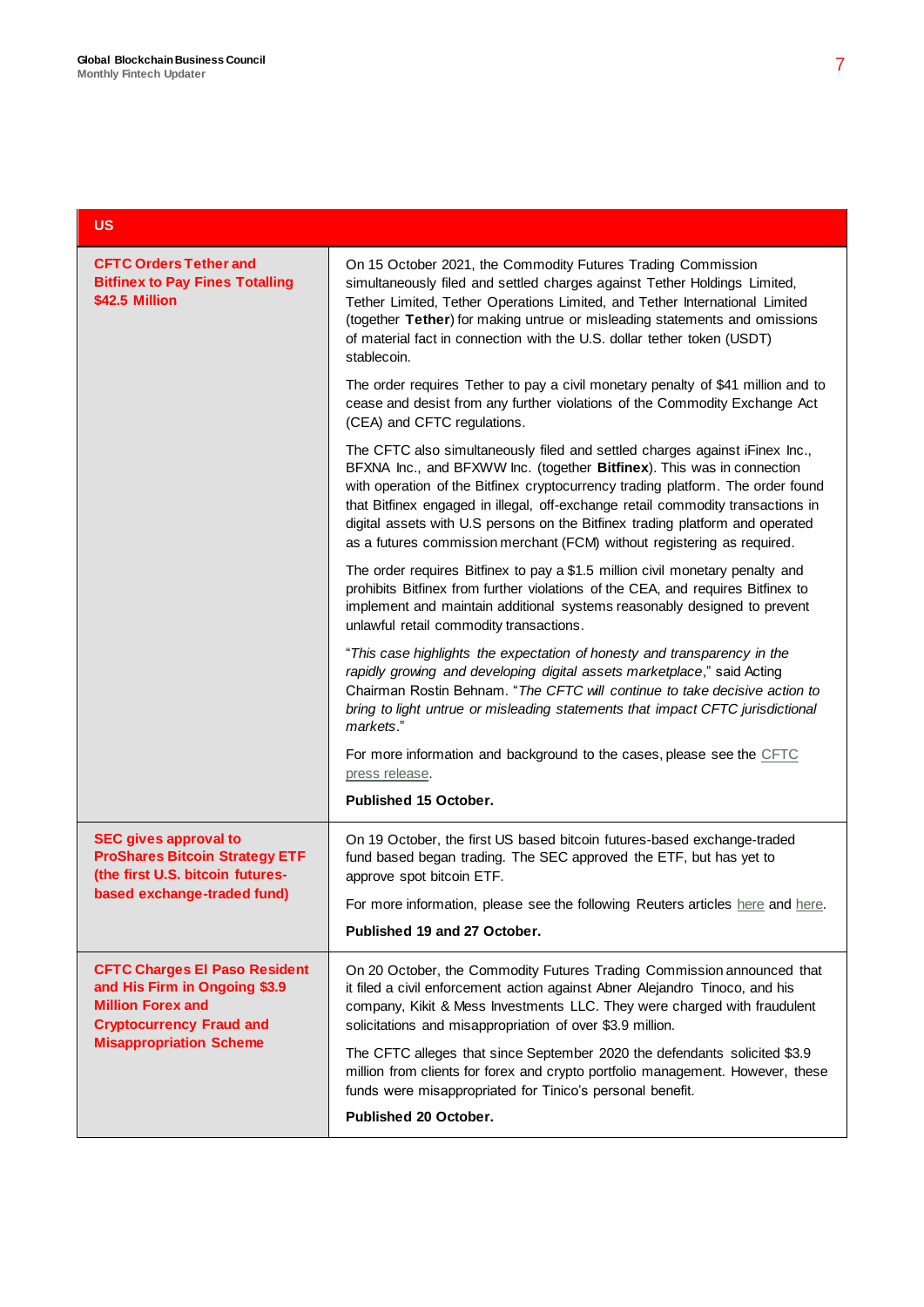#### **US**

| <b>CFTC Orders Tether and</b><br><b>Bitfinex to Pay Fines Totalling</b><br>\$42.5 Million                                                                              | On 15 October 2021, the Commodity Futures Trading Commission<br>simultaneously filed and settled charges against Tether Holdings Limited,<br>Tether Limited, Tether Operations Limited, and Tether International Limited<br>(together Tether) for making untrue or misleading statements and omissions<br>of material fact in connection with the U.S. dollar tether token (USDT)<br>stablecoin.                                                                                        |
|------------------------------------------------------------------------------------------------------------------------------------------------------------------------|-----------------------------------------------------------------------------------------------------------------------------------------------------------------------------------------------------------------------------------------------------------------------------------------------------------------------------------------------------------------------------------------------------------------------------------------------------------------------------------------|
|                                                                                                                                                                        | The order requires Tether to pay a civil monetary penalty of \$41 million and to<br>cease and desist from any further violations of the Commodity Exchange Act<br>(CEA) and CFTC regulations.                                                                                                                                                                                                                                                                                           |
|                                                                                                                                                                        | The CFTC also simultaneously filed and settled charges against iFinex Inc.,<br>BFXNA Inc., and BFXWW Inc. (together Bitfinex). This was in connection<br>with operation of the Bitfinex cryptocurrency trading platform. The order found<br>that Bitfinex engaged in illegal, off-exchange retail commodity transactions in<br>digital assets with U.S persons on the Bitfinex trading platform and operated<br>as a futures commission merchant (FCM) without registering as required. |
|                                                                                                                                                                        | The order requires Bitfinex to pay a \$1.5 million civil monetary penalty and<br>prohibits Bitfinex from further violations of the CEA, and requires Bitfinex to<br>implement and maintain additional systems reasonably designed to prevent<br>unlawful retail commodity transactions.                                                                                                                                                                                                 |
|                                                                                                                                                                        | "This case highlights the expectation of honesty and transparency in the<br>rapidly growing and developing digital assets marketplace," said Acting<br>Chairman Rostin Behnam. "The CFTC will continue to take decisive action to<br>bring to light untrue or misleading statements that impact CFTC jurisdictional<br>markets."                                                                                                                                                        |
|                                                                                                                                                                        | For more information and background to the cases, please see the CFTC<br>press release.                                                                                                                                                                                                                                                                                                                                                                                                 |
|                                                                                                                                                                        | <b>Published 15 October.</b>                                                                                                                                                                                                                                                                                                                                                                                                                                                            |
| <b>SEC gives approval to</b><br><b>ProShares Bitcoin Strategy ETF</b><br>(the first U.S. bitcoin futures-                                                              | On 19 October, the first US based bitcoin futures-based exchange-traded<br>fund based began trading. The SEC approved the ETF, but has yet to<br>approve spot bitcoin ETF.                                                                                                                                                                                                                                                                                                              |
| based exchange-traded fund)                                                                                                                                            | For more information, please see the following Reuters articles here and here.                                                                                                                                                                                                                                                                                                                                                                                                          |
|                                                                                                                                                                        | Published 19 and 27 October.                                                                                                                                                                                                                                                                                                                                                                                                                                                            |
| <b>CFTC Charges El Paso Resident</b><br>and His Firm in Ongoing \$3.9<br><b>Million Forex and</b><br><b>Cryptocurrency Fraud and</b><br><b>Misappropriation Scheme</b> | On 20 October, the Commodity Futures Trading Commission announced that<br>it filed a civil enforcement action against Abner Alejandro Tinoco, and his<br>company, Kikit & Mess Investments LLC. They were charged with fraudulent<br>solicitations and misappropriation of over \$3.9 million.                                                                                                                                                                                          |
|                                                                                                                                                                        | The CFTC alleges that since September 2020 the defendants solicited \$3.9<br>million from clients for forex and crypto portfolio management. However, these<br>funds were misappropriated for Tinico's personal benefit.                                                                                                                                                                                                                                                                |
|                                                                                                                                                                        | <b>Published 20 October.</b>                                                                                                                                                                                                                                                                                                                                                                                                                                                            |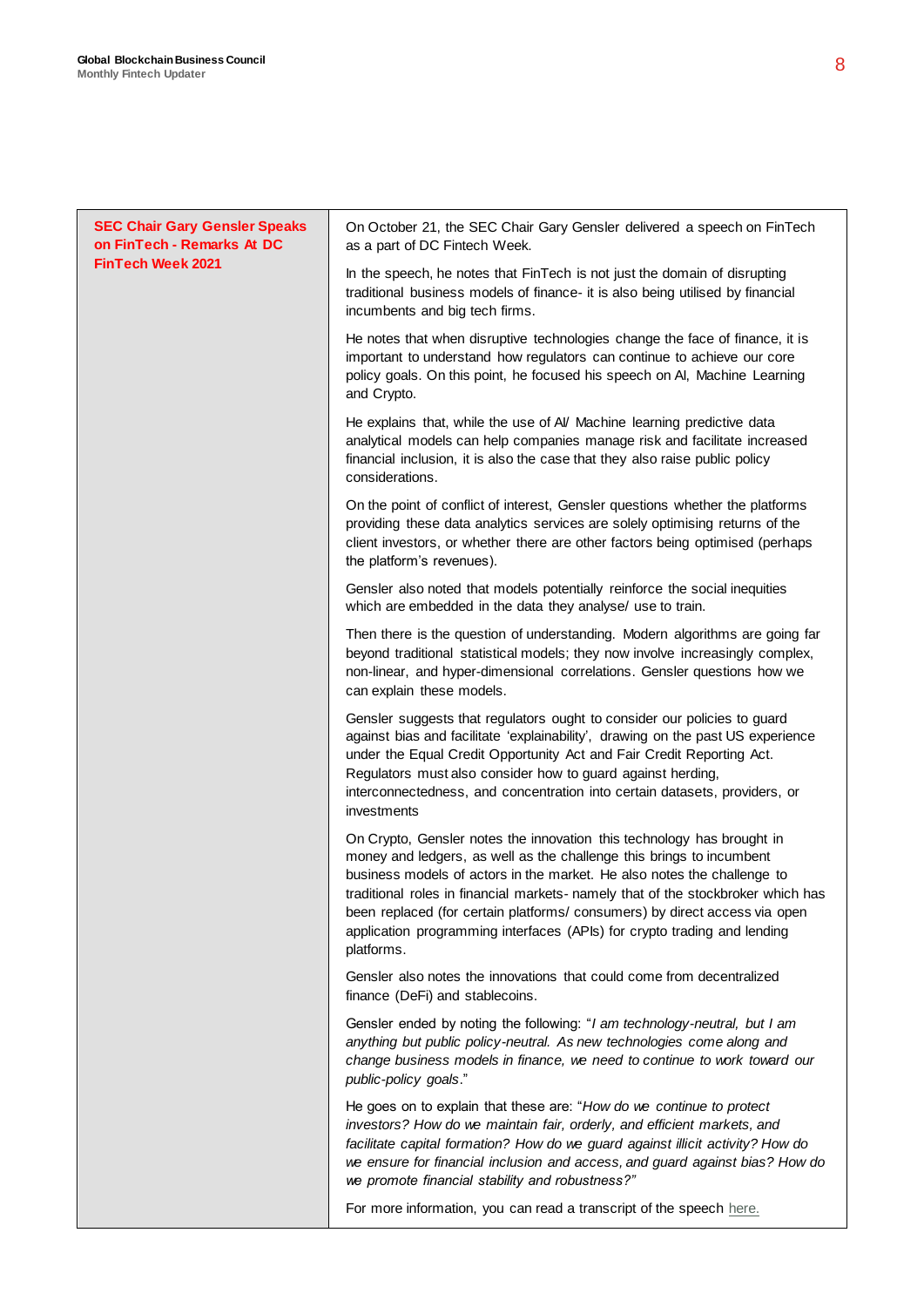| <b>SEC Chair Gary Gensler Speaks</b><br>on FinTech - Remarks At DC<br>FinTech Week 2021 | On October 21, the SEC Chair Gary Gensler delivered a speech on FinTech<br>as a part of DC Fintech Week.                                                                                                                                                                                                                                                                                                                                                                             |
|-----------------------------------------------------------------------------------------|--------------------------------------------------------------------------------------------------------------------------------------------------------------------------------------------------------------------------------------------------------------------------------------------------------------------------------------------------------------------------------------------------------------------------------------------------------------------------------------|
|                                                                                         | In the speech, he notes that FinTech is not just the domain of disrupting<br>traditional business models of finance- it is also being utilised by financial<br>incumbents and big tech firms.                                                                                                                                                                                                                                                                                        |
|                                                                                         | He notes that when disruptive technologies change the face of finance, it is<br>important to understand how regulators can continue to achieve our core<br>policy goals. On this point, he focused his speech on Al, Machine Learning<br>and Crypto.                                                                                                                                                                                                                                 |
|                                                                                         | He explains that, while the use of Al/ Machine learning predictive data<br>analytical models can help companies manage risk and facilitate increased<br>financial inclusion, it is also the case that they also raise public policy<br>considerations.                                                                                                                                                                                                                               |
|                                                                                         | On the point of conflict of interest, Gensler questions whether the platforms<br>providing these data analytics services are solely optimising returns of the<br>client investors, or whether there are other factors being optimised (perhaps<br>the platform's revenues).                                                                                                                                                                                                          |
|                                                                                         | Gensler also noted that models potentially reinforce the social inequities<br>which are embedded in the data they analyse/ use to train.                                                                                                                                                                                                                                                                                                                                             |
|                                                                                         | Then there is the question of understanding. Modern algorithms are going far<br>beyond traditional statistical models; they now involve increasingly complex,<br>non-linear, and hyper-dimensional correlations. Gensler questions how we<br>can explain these models.                                                                                                                                                                                                               |
|                                                                                         | Gensler suggests that regulators ought to consider our policies to guard<br>against bias and facilitate 'explainability', drawing on the past US experience<br>under the Equal Credit Opportunity Act and Fair Credit Reporting Act.<br>Regulators must also consider how to guard against herding,<br>interconnectedness, and concentration into certain datasets, providers, or<br>investments                                                                                     |
|                                                                                         | On Crypto, Gensler notes the innovation this technology has brought in<br>money and ledgers, as well as the challenge this brings to incumbent<br>business models of actors in the market. He also notes the challenge to<br>traditional roles in financial markets- namely that of the stockbroker which has<br>been replaced (for certain platforms/consumers) by direct access via open<br>application programming interfaces (APIs) for crypto trading and lending<br>platforms. |
|                                                                                         | Gensler also notes the innovations that could come from decentralized<br>finance (DeFi) and stablecoins.                                                                                                                                                                                                                                                                                                                                                                             |
|                                                                                         | Gensler ended by noting the following: "I am technology-neutral, but I am<br>anything but public policy-neutral. As new technologies come along and<br>change business models in finance, we need to continue to work toward our<br>public-policy goals."                                                                                                                                                                                                                            |
|                                                                                         | He goes on to explain that these are: "How do we continue to protect<br>investors? How do we maintain fair, orderly, and efficient markets, and<br>facilitate capital formation? How do we guard against illicit activity? How do<br>we ensure for financial inclusion and access, and guard against bias? How do<br>we promote financial stability and robustness?"                                                                                                                 |
|                                                                                         | For more information, you can read a transcript of the speech here.                                                                                                                                                                                                                                                                                                                                                                                                                  |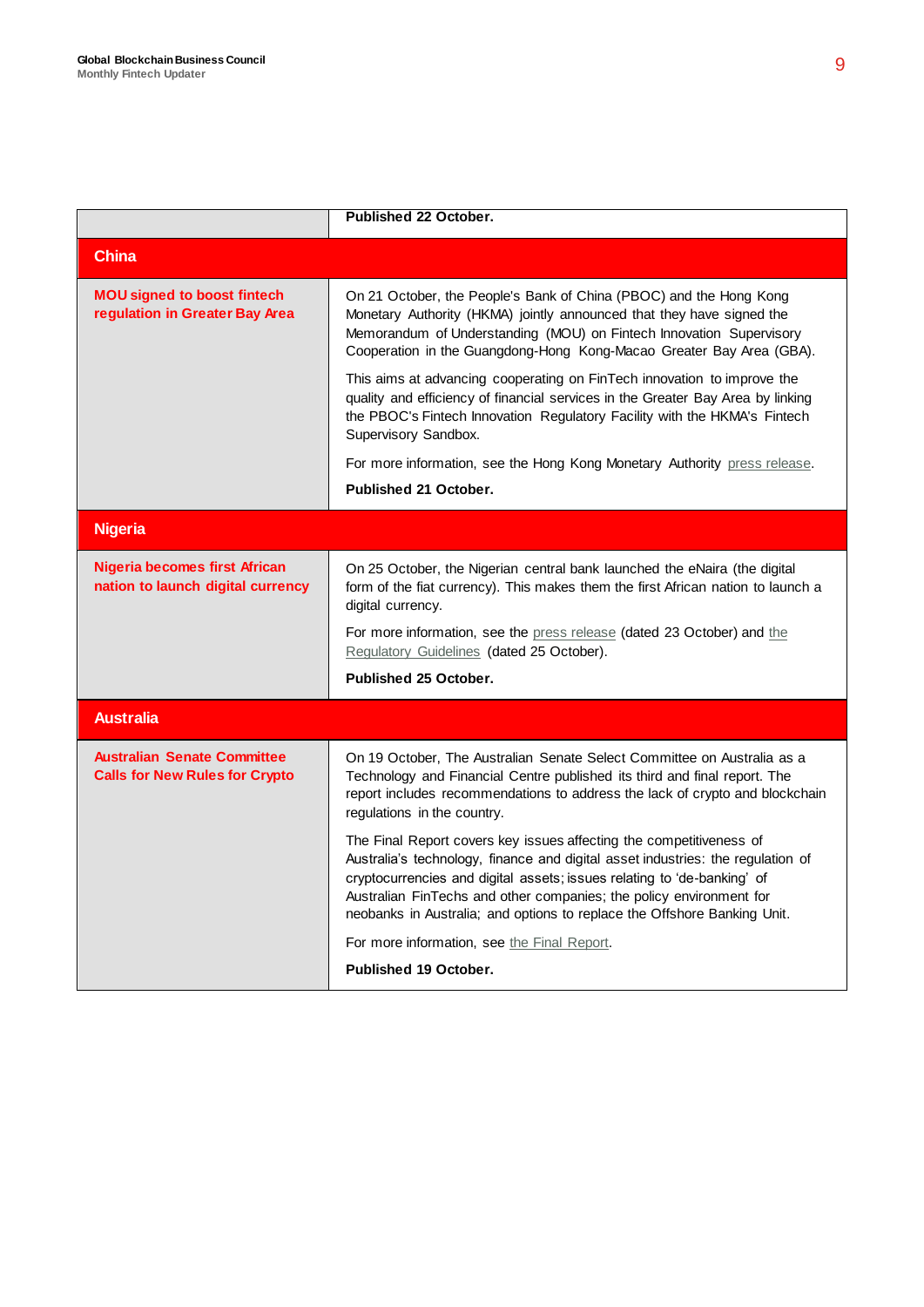|                                                                             | Published 22 October.                                                                                                                                                                                                                                                                                                                                                                |
|-----------------------------------------------------------------------------|--------------------------------------------------------------------------------------------------------------------------------------------------------------------------------------------------------------------------------------------------------------------------------------------------------------------------------------------------------------------------------------|
| <b>China</b>                                                                |                                                                                                                                                                                                                                                                                                                                                                                      |
| <b>MOU signed to boost fintech</b><br>regulation in Greater Bay Area        | On 21 October, the People's Bank of China (PBOC) and the Hong Kong<br>Monetary Authority (HKMA) jointly announced that they have signed the<br>Memorandum of Understanding (MOU) on Fintech Innovation Supervisory<br>Cooperation in the Guangdong-Hong Kong-Macao Greater Bay Area (GBA).                                                                                           |
|                                                                             | This aims at advancing cooperating on FinTech innovation to improve the<br>quality and efficiency of financial services in the Greater Bay Area by linking<br>the PBOC's Fintech Innovation Regulatory Facility with the HKMA's Fintech<br>Supervisory Sandbox.                                                                                                                      |
|                                                                             | For more information, see the Hong Kong Monetary Authority press release.                                                                                                                                                                                                                                                                                                            |
|                                                                             | <b>Published 21 October.</b>                                                                                                                                                                                                                                                                                                                                                         |
| <b>Nigeria</b>                                                              |                                                                                                                                                                                                                                                                                                                                                                                      |
| <b>Nigeria becomes first African</b><br>nation to launch digital currency   | On 25 October, the Nigerian central bank launched the eNaira (the digital<br>form of the fiat currency). This makes them the first African nation to launch a<br>digital currency.                                                                                                                                                                                                   |
|                                                                             | For more information, see the press release (dated 23 October) and the<br>Regulatory Guidelines (dated 25 October).                                                                                                                                                                                                                                                                  |
|                                                                             | <b>Published 25 October.</b>                                                                                                                                                                                                                                                                                                                                                         |
| <b>Australia</b>                                                            |                                                                                                                                                                                                                                                                                                                                                                                      |
| <b>Australian Senate Committee</b><br><b>Calls for New Rules for Crypto</b> | On 19 October, The Australian Senate Select Committee on Australia as a<br>Technology and Financial Centre published its third and final report. The<br>report includes recommendations to address the lack of crypto and blockchain<br>regulations in the country.                                                                                                                  |
|                                                                             | The Final Report covers key issues affecting the competitiveness of<br>Australia's technology, finance and digital asset industries: the regulation of<br>cryptocurrencies and digital assets; issues relating to 'de-banking' of<br>Australian FinTechs and other companies; the policy environment for<br>neobanks in Australia; and options to replace the Offshore Banking Unit. |
|                                                                             | For more information, see the Final Report.                                                                                                                                                                                                                                                                                                                                          |
|                                                                             | <b>Published 19 October.</b>                                                                                                                                                                                                                                                                                                                                                         |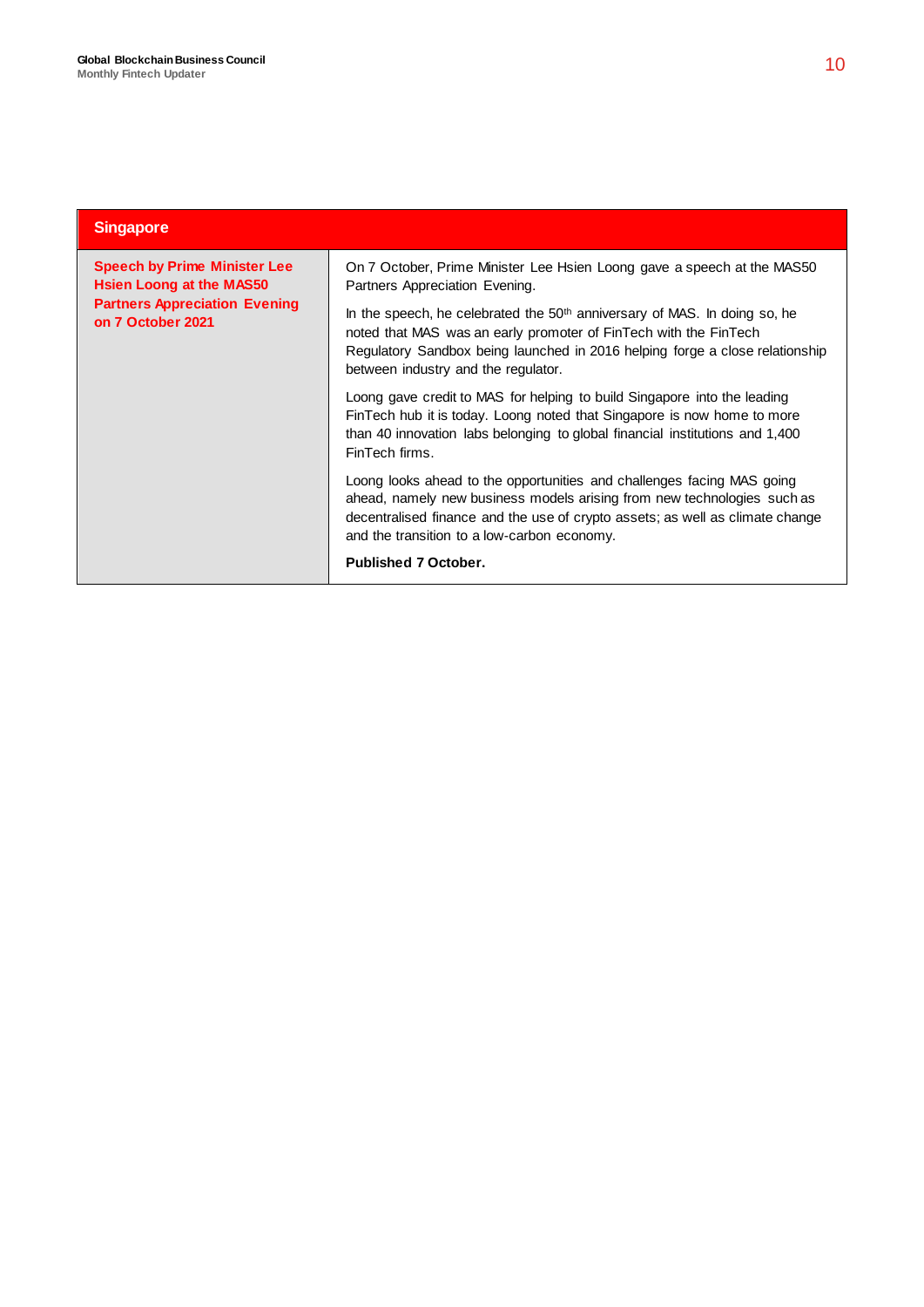| <b>Singapore</b>                                                                                                             |                                                                                                                                                                                                                                                                                   |
|------------------------------------------------------------------------------------------------------------------------------|-----------------------------------------------------------------------------------------------------------------------------------------------------------------------------------------------------------------------------------------------------------------------------------|
| <b>Speech by Prime Minister Lee</b><br>Hsien Loong at the MAS50<br><b>Partners Appreciation Evening</b><br>on 7 October 2021 | On 7 October, Prime Minister Lee Hsien Loong gave a speech at the MAS50<br>Partners Appreciation Evening.                                                                                                                                                                         |
|                                                                                                                              | In the speech, he celebrated the 50 <sup>th</sup> anniversary of MAS. In doing so, he<br>noted that MAS was an early promoter of FinTech with the FinTech<br>Regulatory Sandbox being launched in 2016 helping forge a close relationship<br>between industry and the regulator.  |
|                                                                                                                              | Loong gave credit to MAS for helping to build Singapore into the leading<br>FinTech hub it is today. Loong noted that Singapore is now home to more<br>than 40 innovation labs belonging to global financial institutions and 1,400<br>FinTech firms.                             |
|                                                                                                                              | Loong looks ahead to the opportunities and challenges facing MAS going<br>ahead, namely new business models arising from new technologies such as<br>decentralised finance and the use of crypto assets; as well as climate change<br>and the transition to a low-carbon economy. |
|                                                                                                                              | <b>Published 7 October.</b>                                                                                                                                                                                                                                                       |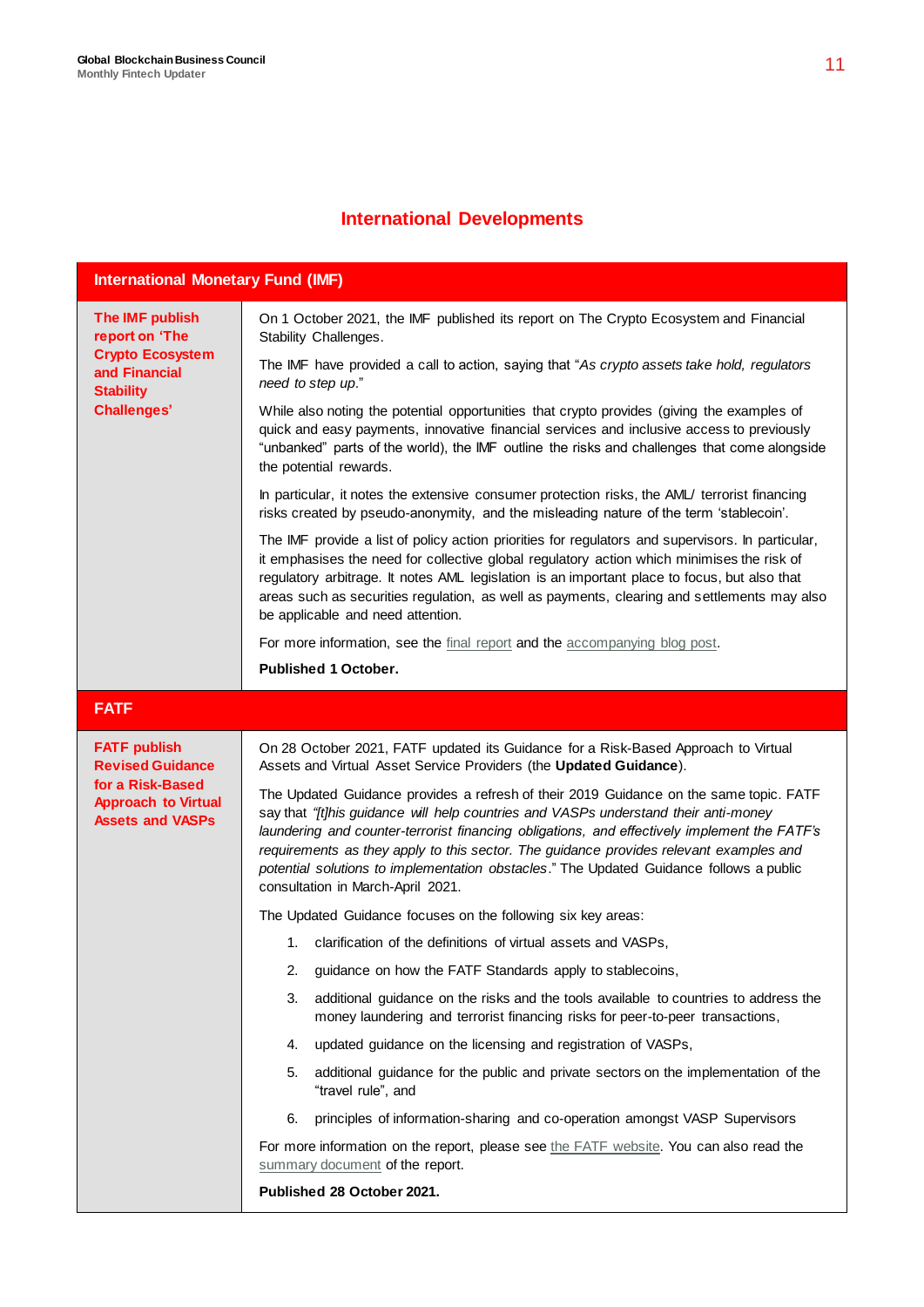## **International Developments**

| <b>International Monetary Fund (IMF)</b>                                                                                |                                                                                                                                                                                                                                                                                                                                                                                                                                                                                                         |  |
|-------------------------------------------------------------------------------------------------------------------------|---------------------------------------------------------------------------------------------------------------------------------------------------------------------------------------------------------------------------------------------------------------------------------------------------------------------------------------------------------------------------------------------------------------------------------------------------------------------------------------------------------|--|
| The IMF publish<br>report on 'The<br><b>Crypto Ecosystem</b><br>and Financial<br><b>Stability</b><br><b>Challenges'</b> | On 1 October 2021, the IMF published its report on The Crypto Ecosystem and Financial<br>Stability Challenges.                                                                                                                                                                                                                                                                                                                                                                                          |  |
|                                                                                                                         | The IMF have provided a call to action, saying that "As crypto assets take hold, regulators<br>need to step up."                                                                                                                                                                                                                                                                                                                                                                                        |  |
|                                                                                                                         | While also noting the potential opportunities that crypto provides (giving the examples of<br>quick and easy payments, innovative financial services and inclusive access to previously<br>"unbanked" parts of the world), the IMF outline the risks and challenges that come alongside<br>the potential rewards.                                                                                                                                                                                       |  |
|                                                                                                                         | In particular, it notes the extensive consumer protection risks, the AML/ terrorist financing<br>risks created by pseudo-anonymity, and the misleading nature of the term 'stablecoin'.                                                                                                                                                                                                                                                                                                                 |  |
|                                                                                                                         | The IMF provide a list of policy action priorities for regulators and supervisors. In particular,<br>it emphasises the need for collective global regulatory action which minimises the risk of<br>regulatory arbitrage. It notes AML legislation is an important place to focus, but also that<br>areas such as securities regulation, as well as payments, clearing and settlements may also<br>be applicable and need attention.                                                                     |  |
|                                                                                                                         | For more information, see the final report and the accompanying blog post.                                                                                                                                                                                                                                                                                                                                                                                                                              |  |
|                                                                                                                         | <b>Published 1 October.</b>                                                                                                                                                                                                                                                                                                                                                                                                                                                                             |  |
| <b>FATF</b>                                                                                                             |                                                                                                                                                                                                                                                                                                                                                                                                                                                                                                         |  |
| <b>FATF publish</b><br><b>Revised Guidance</b>                                                                          | On 28 October 2021, FATF updated its Guidance for a Risk-Based Approach to Virtual<br>Assets and Virtual Asset Service Providers (the Updated Guidance).                                                                                                                                                                                                                                                                                                                                                |  |
| for a Risk-Based<br><b>Approach to Virtual</b><br><b>Assets and VASPs</b>                                               | The Updated Guidance provides a refresh of their 2019 Guidance on the same topic. FATF<br>say that "[t]his guidance will help countries and VASPs understand their anti-money<br>laundering and counter-terrorist financing obligations, and effectively implement the FATF's<br>requirements as they apply to this sector. The guidance provides relevant examples and<br>potential solutions to implementation obstacles." The Updated Guidance follows a public<br>consultation in March-April 2021. |  |
|                                                                                                                         | The Updated Guidance focuses on the following six key areas:                                                                                                                                                                                                                                                                                                                                                                                                                                            |  |
|                                                                                                                         | 1. clarification of the definitions of virtual assets and VASPs,                                                                                                                                                                                                                                                                                                                                                                                                                                        |  |
|                                                                                                                         | guidance on how the FATF Standards apply to stablecoins,<br>2.                                                                                                                                                                                                                                                                                                                                                                                                                                          |  |
|                                                                                                                         | 3.<br>additional guidance on the risks and the tools available to countries to address the<br>money laundering and terrorist financing risks for peer-to-peer transactions,                                                                                                                                                                                                                                                                                                                             |  |
|                                                                                                                         | updated guidance on the licensing and registration of VASPs,<br>4.                                                                                                                                                                                                                                                                                                                                                                                                                                      |  |
|                                                                                                                         | additional guidance for the public and private sectors on the implementation of the<br>5.<br>"travel rule", and                                                                                                                                                                                                                                                                                                                                                                                         |  |
|                                                                                                                         | 6.<br>principles of information-sharing and co-operation amongst VASP Supervisors                                                                                                                                                                                                                                                                                                                                                                                                                       |  |
|                                                                                                                         | For more information on the report, please see the FATF website. You can also read the<br>summary document of the report.                                                                                                                                                                                                                                                                                                                                                                               |  |
|                                                                                                                         | Published 28 October 2021.                                                                                                                                                                                                                                                                                                                                                                                                                                                                              |  |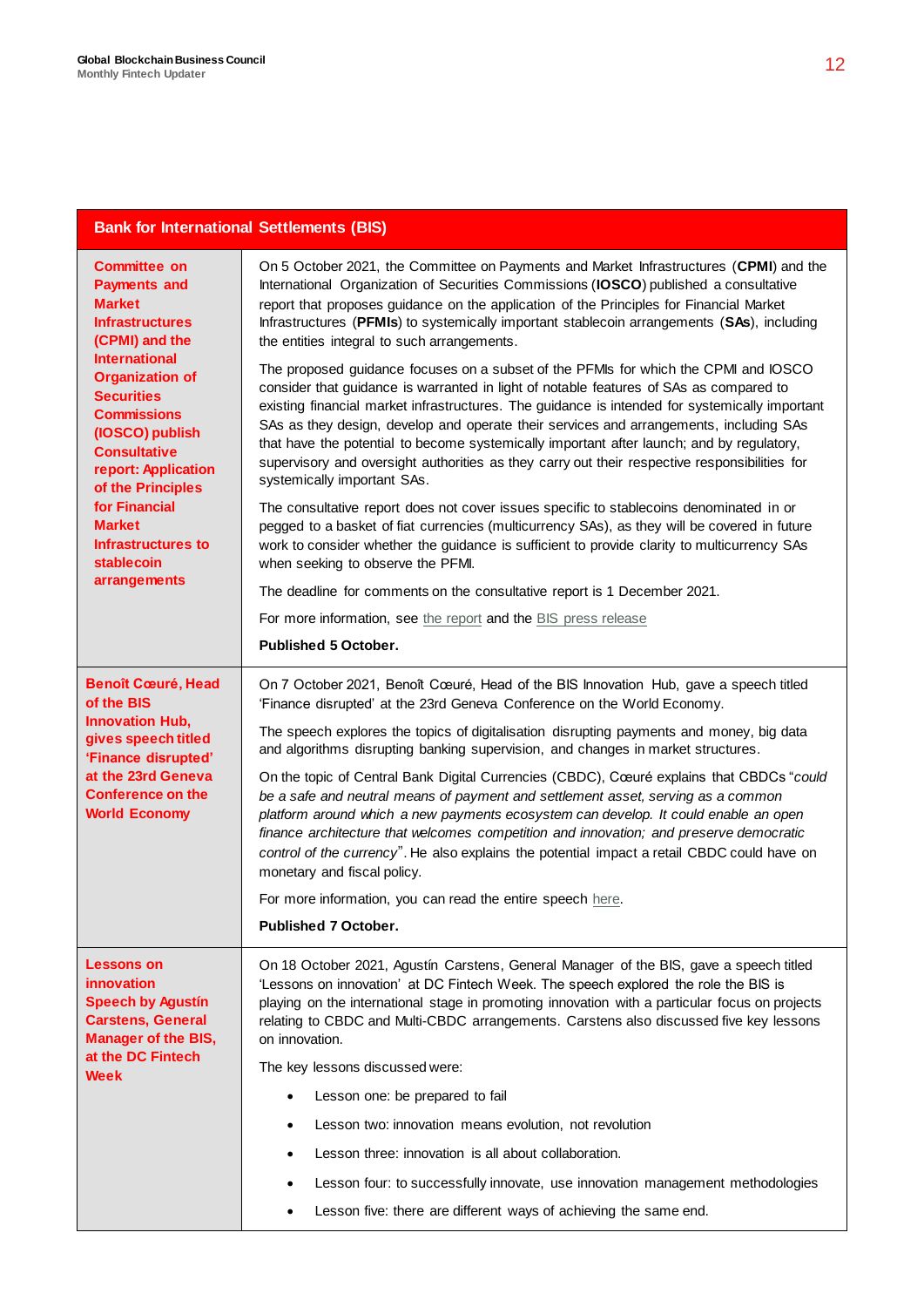#### **Bank for International Settlements (BIS)**

| <b>Committee on</b><br><b>Payments and</b><br><b>Market</b><br><b>Infrastructures</b><br>(CPMI) and the<br><b>International</b><br><b>Organization of</b><br><b>Securities</b><br><b>Commissions</b><br>(IOSCO) publish<br><b>Consultative</b><br>report: Application<br>of the Principles<br>for Financial<br><b>Market</b><br>Infrastructures to<br>stablecoin | On 5 October 2021, the Committee on Payments and Market Infrastructures (CPMI) and the<br>International Organization of Securities Commissions (IOSCO) published a consultative<br>report that proposes guidance on the application of the Principles for Financial Market<br>Infrastructures (PFMIs) to systemically important stablecoin arrangements (SAs), including<br>the entities integral to such arrangements.<br>The proposed guidance focuses on a subset of the PFMIs for which the CPMI and IOSCO<br>consider that guidance is warranted in light of notable features of SAs as compared to<br>existing financial market infrastructures. The guidance is intended for systemically important<br>SAs as they design, develop and operate their services and arrangements, including SAs<br>that have the potential to become systemically important after launch; and by regulatory,<br>supervisory and oversight authorities as they carry out their respective responsibilities for<br>systemically important SAs. |
|------------------------------------------------------------------------------------------------------------------------------------------------------------------------------------------------------------------------------------------------------------------------------------------------------------------------------------------------------------------|-----------------------------------------------------------------------------------------------------------------------------------------------------------------------------------------------------------------------------------------------------------------------------------------------------------------------------------------------------------------------------------------------------------------------------------------------------------------------------------------------------------------------------------------------------------------------------------------------------------------------------------------------------------------------------------------------------------------------------------------------------------------------------------------------------------------------------------------------------------------------------------------------------------------------------------------------------------------------------------------------------------------------------------|
|                                                                                                                                                                                                                                                                                                                                                                  | The consultative report does not cover issues specific to stablecoins denominated in or<br>pegged to a basket of fiat currencies (multicurrency SAs), as they will be covered in future<br>work to consider whether the guidance is sufficient to provide clarity to multicurrency SAs<br>when seeking to observe the PFMI.                                                                                                                                                                                                                                                                                                                                                                                                                                                                                                                                                                                                                                                                                                       |
| arrangements                                                                                                                                                                                                                                                                                                                                                     | The deadline for comments on the consultative report is 1 December 2021.                                                                                                                                                                                                                                                                                                                                                                                                                                                                                                                                                                                                                                                                                                                                                                                                                                                                                                                                                          |
|                                                                                                                                                                                                                                                                                                                                                                  | For more information, see the report and the BIS press release                                                                                                                                                                                                                                                                                                                                                                                                                                                                                                                                                                                                                                                                                                                                                                                                                                                                                                                                                                    |
|                                                                                                                                                                                                                                                                                                                                                                  | <b>Published 5 October.</b>                                                                                                                                                                                                                                                                                                                                                                                                                                                                                                                                                                                                                                                                                                                                                                                                                                                                                                                                                                                                       |
| <b>Benoît Cœuré, Head</b><br>of the BIS                                                                                                                                                                                                                                                                                                                          | On 7 October 2021, Benoît Cœuré, Head of the BIS Innovation Hub, gave a speech titled<br>'Finance disrupted' at the 23rd Geneva Conference on the World Economy.                                                                                                                                                                                                                                                                                                                                                                                                                                                                                                                                                                                                                                                                                                                                                                                                                                                                  |
| <b>Innovation Hub,</b><br>gives speech titled<br>'Finance disrupted'                                                                                                                                                                                                                                                                                             | The speech explores the topics of digitalisation disrupting payments and money, big data<br>and algorithms disrupting banking supervision, and changes in market structures.                                                                                                                                                                                                                                                                                                                                                                                                                                                                                                                                                                                                                                                                                                                                                                                                                                                      |
| at the 23rd Geneva<br><b>Conference on the</b><br><b>World Economy</b>                                                                                                                                                                                                                                                                                           | On the topic of Central Bank Digital Currencies (CBDC), Cœuré explains that CBDCs "could<br>be a safe and neutral means of payment and settlement asset, serving as a common<br>platform around which a new payments ecosystem can develop. It could enable an open<br>finance architecture that welcomes competition and innovation; and preserve democratic<br>control of the currency". He also explains the potential impact a retail CBDC could have on<br>monetary and fiscal policy.                                                                                                                                                                                                                                                                                                                                                                                                                                                                                                                                       |
|                                                                                                                                                                                                                                                                                                                                                                  | For more information, you can read the entire speech here.                                                                                                                                                                                                                                                                                                                                                                                                                                                                                                                                                                                                                                                                                                                                                                                                                                                                                                                                                                        |
|                                                                                                                                                                                                                                                                                                                                                                  | <b>Published 7 October.</b>                                                                                                                                                                                                                                                                                                                                                                                                                                                                                                                                                                                                                                                                                                                                                                                                                                                                                                                                                                                                       |
| <b>Lessons on</b><br>innovation<br><b>Speech by Agustín</b><br><b>Carstens, General</b><br><b>Manager of the BIS,</b>                                                                                                                                                                                                                                            | On 18 October 2021, Agustín Carstens, General Manager of the BIS, gave a speech titled<br>'Lessons on innovation' at DC Fintech Week. The speech explored the role the BIS is<br>playing on the international stage in promoting innovation with a particular focus on projects<br>relating to CBDC and Multi-CBDC arrangements. Carstens also discussed five key lessons<br>on innovation.                                                                                                                                                                                                                                                                                                                                                                                                                                                                                                                                                                                                                                       |
| at the DC Fintech<br>Week                                                                                                                                                                                                                                                                                                                                        | The key lessons discussed were:                                                                                                                                                                                                                                                                                                                                                                                                                                                                                                                                                                                                                                                                                                                                                                                                                                                                                                                                                                                                   |
|                                                                                                                                                                                                                                                                                                                                                                  | Lesson one: be prepared to fail<br>$\bullet$                                                                                                                                                                                                                                                                                                                                                                                                                                                                                                                                                                                                                                                                                                                                                                                                                                                                                                                                                                                      |
|                                                                                                                                                                                                                                                                                                                                                                  | Lesson two: innovation means evolution, not revolution<br>٠                                                                                                                                                                                                                                                                                                                                                                                                                                                                                                                                                                                                                                                                                                                                                                                                                                                                                                                                                                       |
|                                                                                                                                                                                                                                                                                                                                                                  | Lesson three: innovation is all about collaboration.<br>$\bullet$                                                                                                                                                                                                                                                                                                                                                                                                                                                                                                                                                                                                                                                                                                                                                                                                                                                                                                                                                                 |
|                                                                                                                                                                                                                                                                                                                                                                  | Lesson four: to successfully innovate, use innovation management methodologies<br>$\bullet$                                                                                                                                                                                                                                                                                                                                                                                                                                                                                                                                                                                                                                                                                                                                                                                                                                                                                                                                       |
|                                                                                                                                                                                                                                                                                                                                                                  | Lesson five: there are different ways of achieving the same end.<br>$\bullet$                                                                                                                                                                                                                                                                                                                                                                                                                                                                                                                                                                                                                                                                                                                                                                                                                                                                                                                                                     |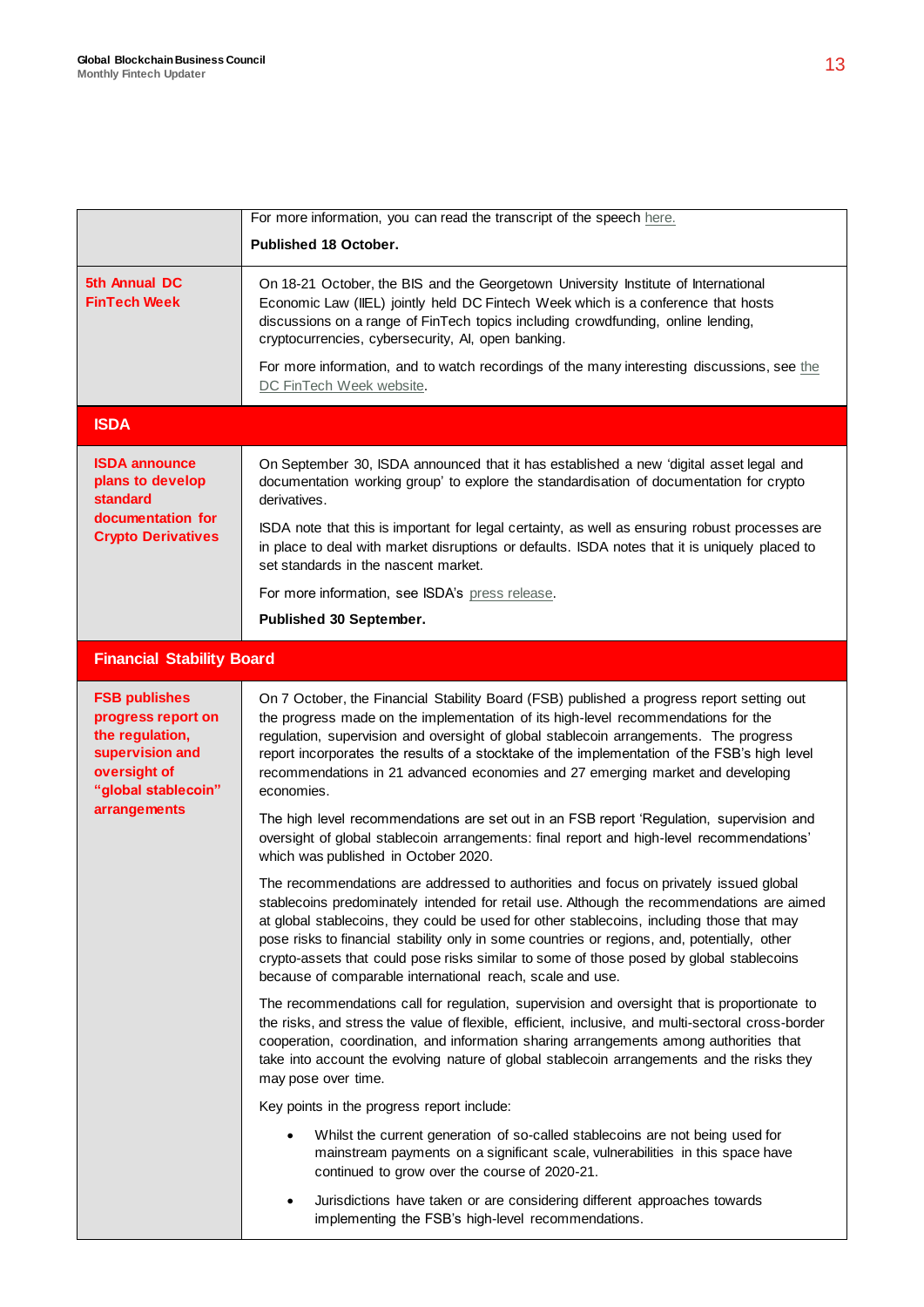|                                                                                                                                         | For more information, you can read the transcript of the speech here.                                                                                                                                                                                                                                                                                                                                                                                                                                                                    |
|-----------------------------------------------------------------------------------------------------------------------------------------|------------------------------------------------------------------------------------------------------------------------------------------------------------------------------------------------------------------------------------------------------------------------------------------------------------------------------------------------------------------------------------------------------------------------------------------------------------------------------------------------------------------------------------------|
|                                                                                                                                         | Published 18 October.                                                                                                                                                                                                                                                                                                                                                                                                                                                                                                                    |
| 5th Annual DC<br><b>FinTech Week</b>                                                                                                    | On 18-21 October, the BIS and the Georgetown University Institute of International<br>Economic Law (IIEL) jointly held DC Fintech Week which is a conference that hosts<br>discussions on a range of FinTech topics including crowdfunding, online lending,<br>cryptocurrencies, cybersecurity, AI, open banking.<br>For more information, and to watch recordings of the many interesting discussions, see the<br>DC FinTech Week website.                                                                                              |
| <b>ISDA</b>                                                                                                                             |                                                                                                                                                                                                                                                                                                                                                                                                                                                                                                                                          |
| <b>ISDA announce</b><br>plans to develop<br>standard<br>documentation for<br><b>Crypto Derivatives</b>                                  | On September 30, ISDA announced that it has established a new 'digital asset legal and<br>documentation working group' to explore the standardisation of documentation for crypto<br>derivatives.<br>ISDA note that this is important for legal certainty, as well as ensuring robust processes are<br>in place to deal with market disruptions or defaults. ISDA notes that it is uniquely placed to<br>set standards in the nascent market.                                                                                            |
|                                                                                                                                         | For more information, see ISDA's press release.                                                                                                                                                                                                                                                                                                                                                                                                                                                                                          |
|                                                                                                                                         | Published 30 September.                                                                                                                                                                                                                                                                                                                                                                                                                                                                                                                  |
| <b>Financial Stability Board</b>                                                                                                        |                                                                                                                                                                                                                                                                                                                                                                                                                                                                                                                                          |
|                                                                                                                                         |                                                                                                                                                                                                                                                                                                                                                                                                                                                                                                                                          |
| <b>FSB publishes</b><br>progress report on<br>the regulation,<br>supervision and<br>oversight of<br>"global stablecoin"<br>arrangements | On 7 October, the Financial Stability Board (FSB) published a progress report setting out<br>the progress made on the implementation of its high-level recommendations for the<br>regulation, supervision and oversight of global stablecoin arrangements. The progress<br>report incorporates the results of a stocktake of the implementation of the FSB's high level<br>recommendations in 21 advanced economies and 27 emerging market and developing<br>economies.                                                                  |
|                                                                                                                                         | The high level recommendations are set out in an FSB report 'Regulation, supervision and<br>oversight of global stablecoin arrangements: final report and high-level recommendations'<br>which was published in October 2020.                                                                                                                                                                                                                                                                                                            |
|                                                                                                                                         | The recommendations are addressed to authorities and focus on privately issued global<br>stablecoins predominately intended for retail use. Although the recommendations are aimed<br>at global stablecoins, they could be used for other stablecoins, including those that may<br>pose risks to financial stability only in some countries or regions, and, potentially, other<br>crypto-assets that could pose risks similar to some of those posed by global stablecoins<br>because of comparable international reach, scale and use. |
|                                                                                                                                         | The recommendations call for regulation, supervision and oversight that is proportionate to<br>the risks, and stress the value of flexible, efficient, inclusive, and multi-sectoral cross-border<br>cooperation, coordination, and information sharing arrangements among authorities that<br>take into account the evolving nature of global stablecoin arrangements and the risks they<br>may pose over time.                                                                                                                         |
|                                                                                                                                         | Key points in the progress report include:                                                                                                                                                                                                                                                                                                                                                                                                                                                                                               |
|                                                                                                                                         | Whilst the current generation of so-called stablecoins are not being used for<br>mainstream payments on a significant scale, vulnerabilities in this space have<br>continued to grow over the course of 2020-21.                                                                                                                                                                                                                                                                                                                         |
|                                                                                                                                         | Jurisdictions have taken or are considering different approaches towards<br>$\bullet$<br>implementing the FSB's high-level recommendations.                                                                                                                                                                                                                                                                                                                                                                                              |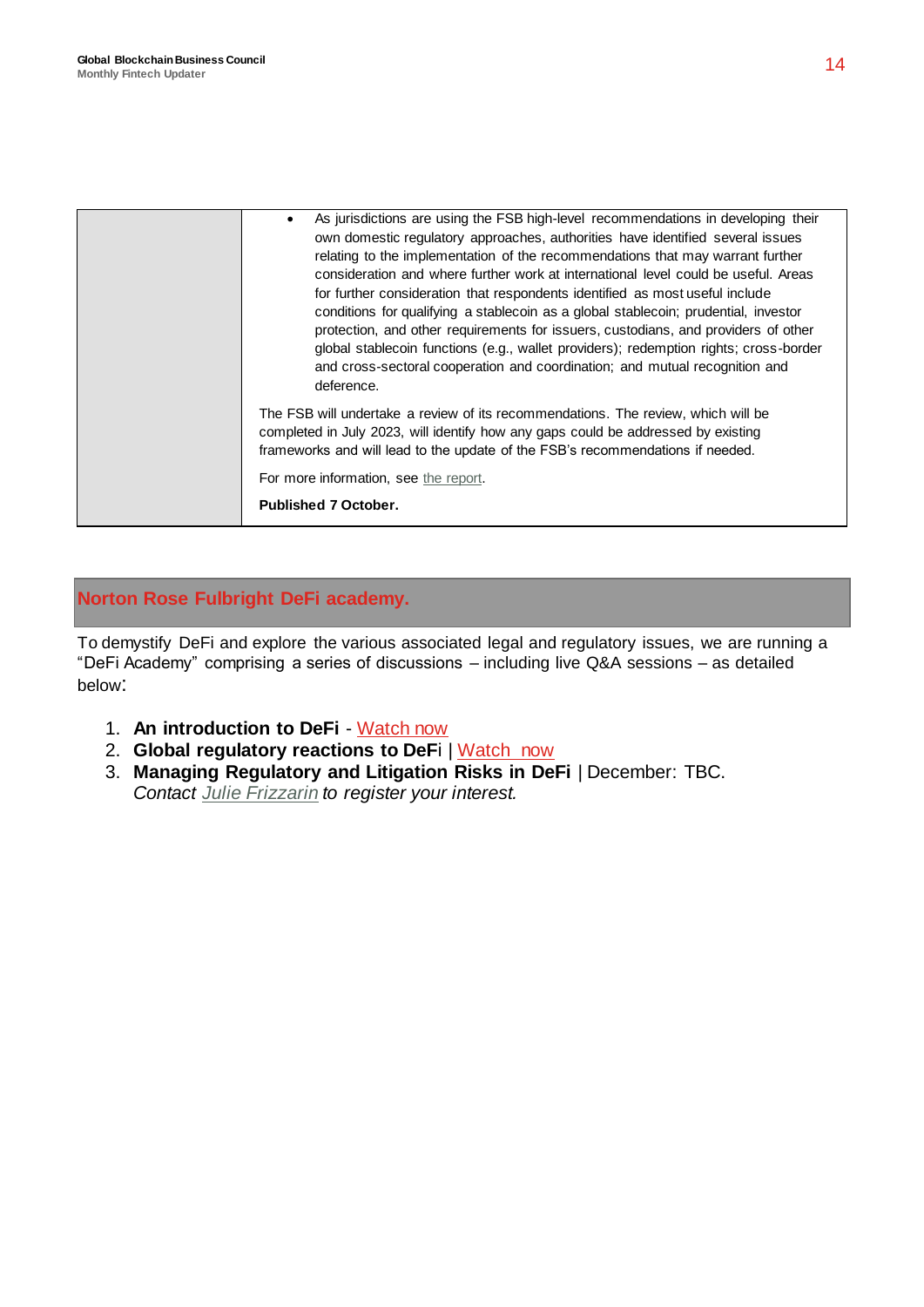| As jurisdictions are using the FSB high-level recommendations in developing their<br>own domestic regulatory approaches, authorities have identified several issues<br>relating to the implementation of the recommendations that may warrant further<br>consideration and where further work at international level could be useful. Areas<br>for further consideration that respondents identified as most useful include<br>conditions for qualifying a stablecoin as a global stablecoin; prudential, investor<br>protection, and other requirements for issuers, custodians, and providers of other<br>global stablecoin functions (e.g., wallet providers); redemption rights; cross-border<br>and cross-sectoral cooperation and coordination; and mutual recognition and<br>deference. |
|------------------------------------------------------------------------------------------------------------------------------------------------------------------------------------------------------------------------------------------------------------------------------------------------------------------------------------------------------------------------------------------------------------------------------------------------------------------------------------------------------------------------------------------------------------------------------------------------------------------------------------------------------------------------------------------------------------------------------------------------------------------------------------------------|
| The FSB will undertake a review of its recommendations. The review, which will be<br>completed in July 2023, will identify how any gaps could be addressed by existing<br>frameworks and will lead to the update of the FSB's recommendations if needed.<br>For more information, see the report.<br><b>Published 7 October.</b>                                                                                                                                                                                                                                                                                                                                                                                                                                                               |
|                                                                                                                                                                                                                                                                                                                                                                                                                                                                                                                                                                                                                                                                                                                                                                                                |

#### **Norton Rose Fulbright DeFi academy.**

To demystify DeFi and explore the various associated legal and regulatory issues, we are running a "DeFi Academy" comprising a series of discussions – including live Q&A sessions – as detailed below:

- 1. **An introduction to DeFi** [Watch now](https://event.on24.com/wcc/r/3403925/6F80B5C7D99362234C1F0FC2AF8AAA69)
- 2. **Global regulatory reactions to DeF**i | [Watch](https://event.on24.com/wcc/r/3456347/492E5E04259E96DD06F47980E69D912B) now
- 3. **Managing Regulatory and Litigation Risks in DeFi** | December: TBC. *Contact [Julie Frizzarin](mailto:julie.frizzarin@nortonrosefulbright.com?subject=DeFi%20academy%20session%203%20|%20Register) to register your interest.*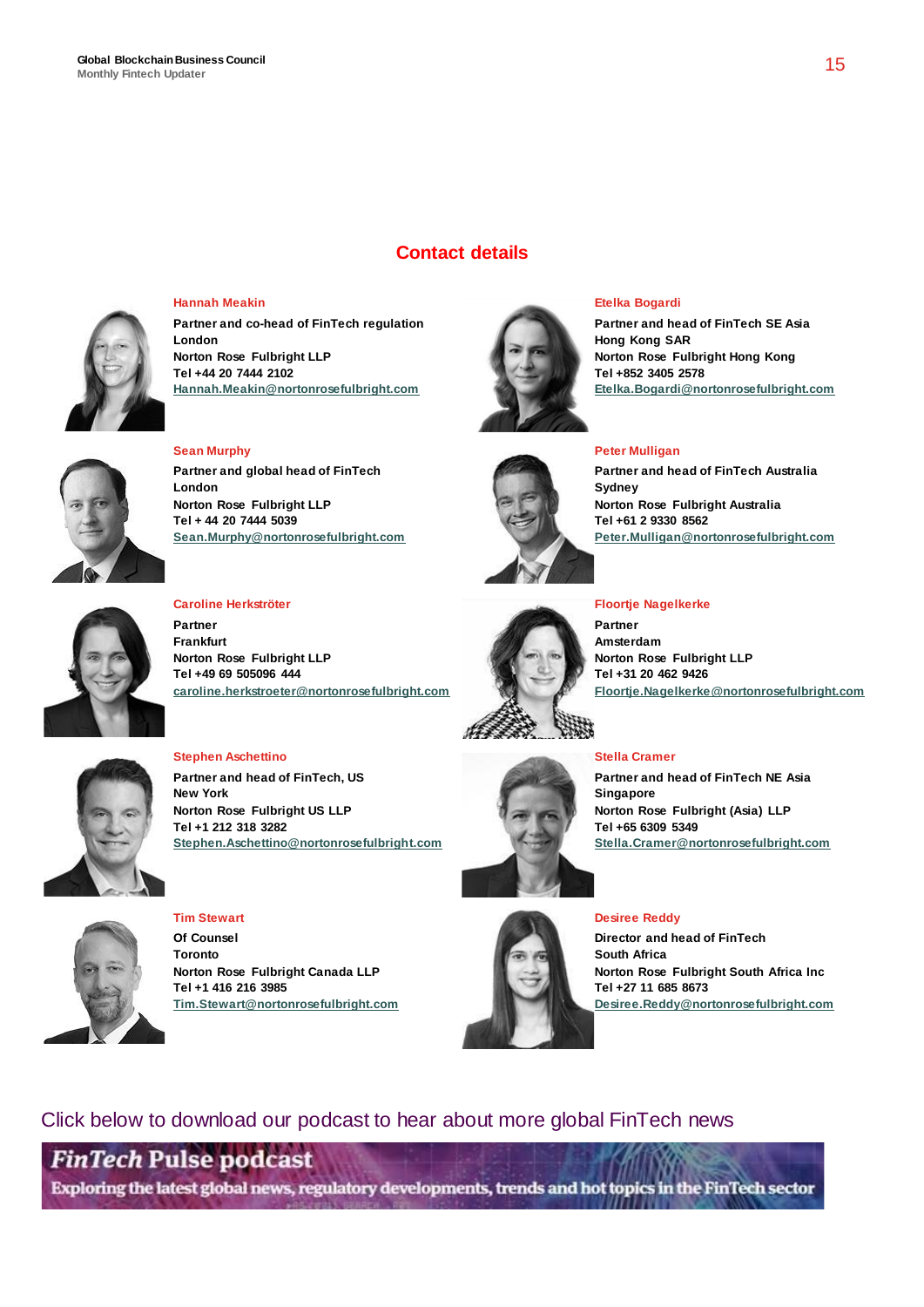

**Hannah Meakin Partner and co-head of FinTech regulation**

**London Norton Rose Fulbright LLP Tel +44 20 7444 2102 [Hannah.Meakin@nortonrosefulbright.com](mailto:Hannah.Meakin@nortonrosefulbright.com)**



#### **Sean Murphy**

**Partner and global head of FinTech London Norton Rose Fulbright LLP Tel + 44 20 7444 5039 Sean.Murphy@nortonrosefulbright.com**



**Contact details**

#### **Etelka Bogardi**

**Partner and head of FinTech SE Asia Hong Kong SAR Norton Rose Fulbright Hong Kong Tel +852 3405 2578 Etelka.Bogardi@nortonrosefulbright.com**

#### **Peter Mulligan**

**Partner and head of FinTech Australia Sydney Norton Rose Fulbright Australia Tel +61 2 9330 8562 Peter.Mulligan@nortonrosefulbright.com**



#### **Caroline Herkströter**

**Stephen Aschettino**

**Tel +1 212 318 3282**

**New York**

**Partner Frankfurt Norton Rose Fulbright LLP Tel +49 69 505096 444 caroline.herkstroeter@nortonrosefulbright.com**

**Stephen.Aschettino@nortonrosefulbright.com**



**Floortje Nagelkerke**

**Partner Amsterdam Norton Rose Fulbright LLP Tel +31 20 462 9426 Floortje.Nagelkerke@nortonrosefulbright.com**

#### **Stella Cramer**

**Partner and head of FinTech NE Asia Singapore Norton Rose Fulbright (Asia) LLP Tel +65 6309 5349 Stella.Cramer@nortonrosefulbright.com**

### **Desiree Reddy**



**Tim Stewart Of Counsel Toronto Norton Rose Fulbright Canada LLP Tel +1 416 216 3985 Tim.Stewart@nortonrosefulbright.com**

**Partner and head of FinTech, US**

**Norton Rose Fulbright US LLP**



**Director and head of FinTech South Africa**

#### Click below to download our podcast to hear about more global FinTech news

## **FinTech Pulse podcast**

Exploring the latest global news, regulatory developments, trends and hot topics in the FinTech sector